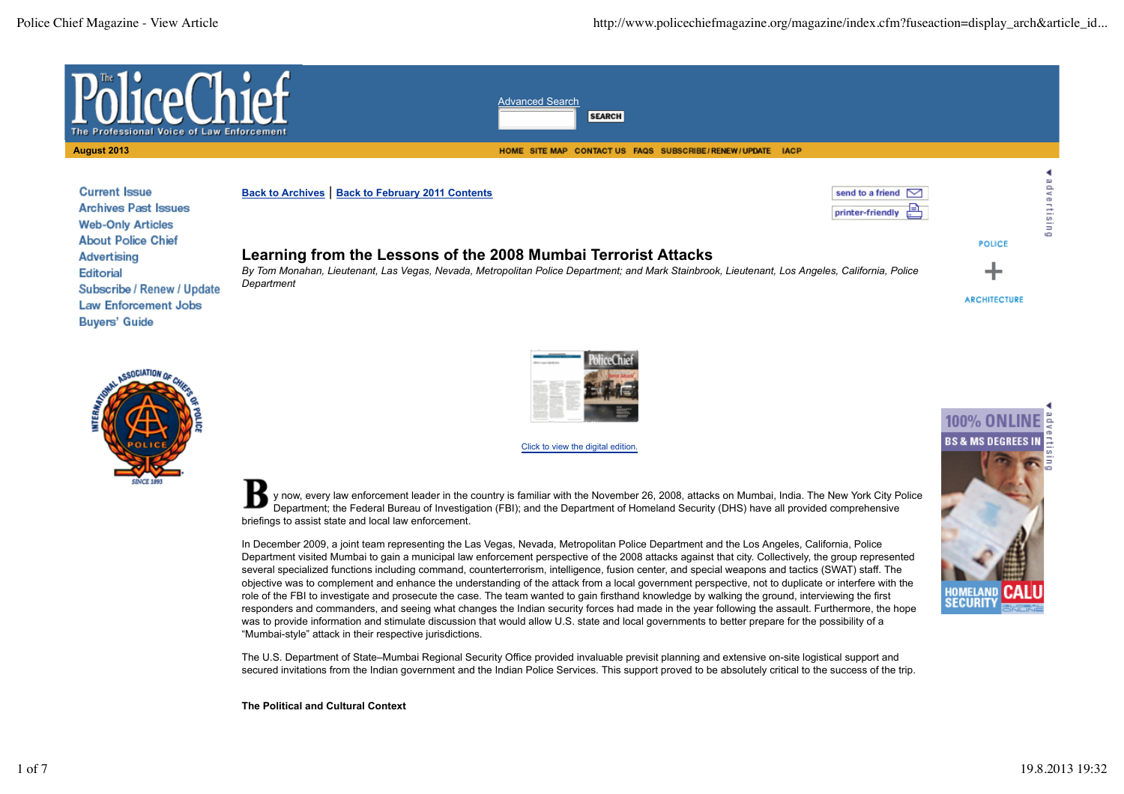send to a friend

printer-friendly



**Current Issue Back to Archives** | **Back to February 2011 Contents Archives Past Issues Web-Only Articles About Police Chief Advertising Editorial** Subscribe / Renew / Update **Law Enforcement Jobs Buyers' Guide** 

# **Learning from the Lessons of the 2008 Mumbai Terrorist Attacks**

*By Tom Monahan, Lieutenant, Las Vegas, Nevada, Metropolitan Police Department; and Mark Stainbrook, Lieutenant, Los Angeles, California, Police Department*

**ARCHITECTURE** 

**POLICE** 

dvertisin

r.





Click to view the digital edition.

y now, every law enforcement leader in the country is familiar with the November 26, 2008, attacks on Mumbai, India. The New York City Police Department; the Federal Bureau of Investigation (FBI); and the Department of Homeland Security (DHS) have all provided comprehensive briefings to assist state and local law enforcement.

In December 2009, a joint team representing the Las Vegas, Nevada, Metropolitan Police Department and the Los Angeles, California, Police Department visited Mumbai to gain a municipal law enforcement perspective of the 2008 attacks against that city. Collectively, the group represented several specialized functions including command, counterterrorism, intelligence, fusion center, and special weapons and tactics (SWAT) staff. The objective was to complement and enhance the understanding of the attack from a local government perspective, not to duplicate or interfere with the role of the FBI to investigate and prosecute the case. The team wanted to gain firsthand knowledge by walking the ground, interviewing the first responders and commanders, and seeing what changes the Indian security forces had made in the year following the assault. Furthermore, the hope was to provide information and stimulate discussion that would allow U.S. state and local governments to better prepare for the possibility of a "Mumbai-style" attack in their respective jurisdictions.

The U.S. Department of State–Mumbai Regional Security Office provided invaluable previsit planning and extensive on-site logistical support and secured invitations from the Indian government and the Indian Police Services. This support proved to be absolutely critical to the success of the trip.

**The Political and Cultural Context**

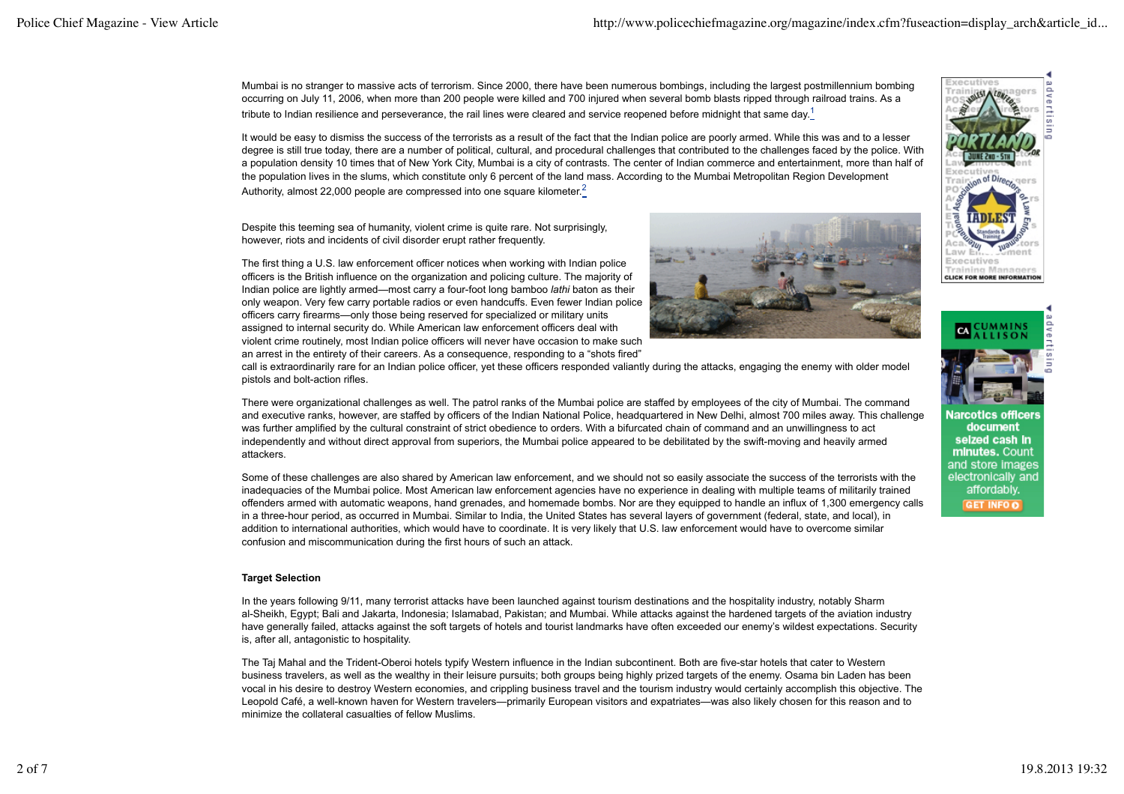Mumbai is no stranger to massive acts of terrorism. Since 2000, there have been numerous bombings, including the largest postmillennium bombing occurring on July 11, 2006, when more than 200 people were killed and 700 injured when several bomb blasts ripped through railroad trains. As a tribute to Indian resilience and perseverance, the rail lines were cleared and service reopened before midnight that same day.<sup>1</sup>

It would be easy to dismiss the success of the terrorists as a result of the fact that the Indian police are poorly armed. While this was and to a lesser degree is still true today, there are a number of political, cultural, and procedural challenges that contributed to the challenges faced by the police. With a population density 10 times that of New York City, Mumbai is a city of contrasts. The center of Indian commerce and entertainment, more than half of the population lives in the slums, which constitute only 6 percent of the land mass. According to the Mumbai Metropolitan Region Development Authority, almost 22,000 people are compressed into one square kilometer.<sup>2</sup>

Despite this teeming sea of humanity, violent crime is quite rare. Not surprisingly, however, riots and incidents of civil disorder erupt rather frequently.

The first thing a U.S. law enforcement officer notices when working with Indian police officers is the British influence on the organization and policing culture. The majority of Indian police are lightly armed—most carry a four-foot long bamboo *lathi* baton as their only weapon. Very few carry portable radios or even handcuffs. Even fewer Indian police officers carry firearms—only those being reserved for specialized or military units assigned to internal security do. While American law enforcement officers deal with violent crime routinely, most Indian police officers will never have occasion to make such an arrest in the entirety of their careers. As a consequence, responding to a "shots fired"



call is extraordinarily rare for an Indian police officer, yet these officers responded valiantly during the attacks, engaging the enemy with older model pistols and bolt-action rifles.

There were organizational challenges as well. The patrol ranks of the Mumbai police are staffed by employees of the city of Mumbai. The command and executive ranks, however, are staffed by officers of the Indian National Police, headquartered in New Delhi, almost 700 miles away. This challenge was further amplified by the cultural constraint of strict obedience to orders. With a bifurcated chain of command and an unwillingness to act independently and without direct approval from superiors, the Mumbai police appeared to be debilitated by the swift-moving and heavily armed attackers.

Some of these challenges are also shared by American law enforcement, and we should not so easily associate the success of the terrorists with the inadequacies of the Mumbai police. Most American law enforcement agencies have no experience in dealing with multiple teams of militarily trained offenders armed with automatic weapons, hand grenades, and homemade bombs. Nor are they equipped to handle an influx of 1,300 emergency calls in a three-hour period, as occurred in Mumbai. Similar to India, the United States has several layers of government (federal, state, and local), in addition to international authorities, which would have to coordinate. It is very likely that U.S. law enforcement would have to overcome similar confusion and miscommunication during the first hours of such an attack.

## **Target Selection**

In the years following 9/11, many terrorist attacks have been launched against tourism destinations and the hospitality industry, notably Sharm al-Sheikh, Egypt; Bali and Jakarta, Indonesia; Islamabad, Pakistan; and Mumbai. While attacks against the hardened targets of the aviation industry have generally failed, attacks against the soft targets of hotels and tourist landmarks have often exceeded our enemy's wildest expectations. Security is, after all, antagonistic to hospitality.

The Taj Mahal and the Trident-Oberoi hotels typify Western influence in the Indian subcontinent. Both are five-star hotels that cater to Western business travelers, as well as the wealthy in their leisure pursuits; both groups being highly prized targets of the enemy. Osama bin Laden has been vocal in his desire to destroy Western economies, and crippling business travel and the tourism industry would certainly accomplish this objective. The Leopold Café, a well-known haven for Western travelers—primarily European visitors and expatriates—was also likely chosen for this reason and to minimize the collateral casualties of fellow Muslims.



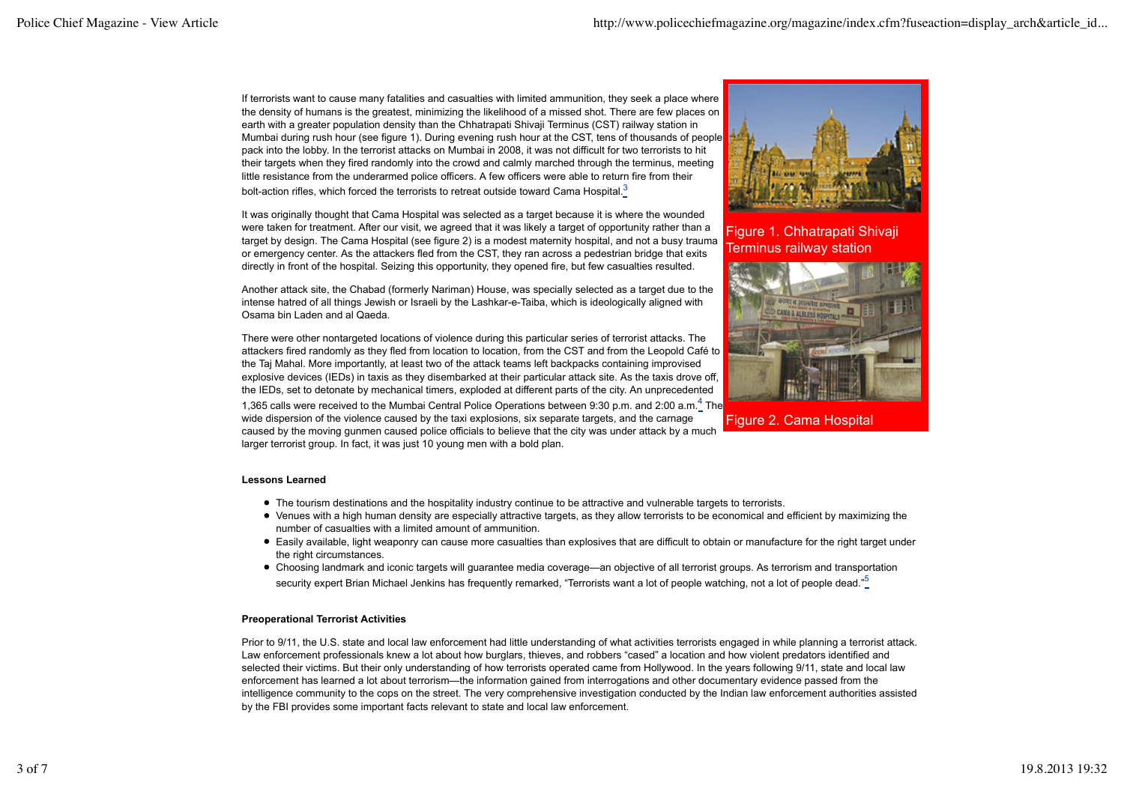If terrorists want to cause many fatalities and casualties with limited ammunition, they seek a place where the density of humans is the greatest, minimizing the likelihood of a missed shot. There are few places on earth with a greater population density than the Chhatrapati Shivaji Terminus (CST) railway station in Mumbai during rush hour (see figure 1). During evening rush hour at the CST, tens of thousands of people pack into the lobby. In the terrorist attacks on Mumbai in 2008, it was not difficult for two terrorists to hit their targets when they fired randomly into the crowd and calmly marched through the terminus, meeting little resistance from the underarmed police officers. A few officers were able to return fire from their bolt-action rifles, which forced the terrorists to retreat outside toward Cama Hospital.<sup>3</sup>

It was originally thought that Cama Hospital was selected as a target because it is where the wounded were taken for treatment. After our visit, we agreed that it was likely a target of opportunity rather than a target by design. The Cama Hospital (see figure 2) is a modest maternity hospital, and not a busy trauma or emergency center. As the attackers fled from the CST, they ran across a pedestrian bridge that exits directly in front of the hospital. Seizing this opportunity, they opened fire, but few casualties resulted.

Another attack site, the Chabad (formerly Nariman) House, was specially selected as a target due to the intense hatred of all things Jewish or Israeli by the Lashkar-e-Taiba, which is ideologically aligned with Osama bin Laden and al Qaeda.

There were other nontargeted locations of violence during this particular series of terrorist attacks. The attackers fired randomly as they fled from location to location, from the CST and from the Leopold Café to the Taj Mahal. More importantly, at least two of the attack teams left backpacks containing improvised explosive devices (IEDs) in taxis as they disembarked at their particular attack site. As the taxis drove off, the IEDs, set to detonate by mechanical timers, exploded at different parts of the city. An unprecedented 1,365 calls were received to the Mumbai Central Police Operations between 9:30 p.m. and 2:00 a.m.<sup>4</sup> The wide dispersion of the violence caused by the taxi explosions, six separate targets, and the carnage caused by the moving gunmen caused police officials to believe that the city was under attack by a much larger terrorist group. In fact, it was just 10 young men with a bold plan.



Figure 1. Chhatrapati Shivaji Terminus railway station



Figure 2. Cama Hospital

## **Lessons Learned**

- The tourism destinations and the hospitality industry continue to be attractive and vulnerable targets to terrorists.
- Venues with a high human density are especially attractive targets, as they allow terrorists to be economical and efficient by maximizing the number of casualties with a limited amount of ammunition.
- Easily available, light weaponry can cause more casualties than explosives that are difficult to obtain or manufacture for the right target under the right circumstances.
- Choosing landmark and iconic targets will guarantee media coverage—an objective of all terrorist groups. As terrorism and transportation security expert Brian Michael Jenkins has frequently remarked, "Terrorists want a lot of people watching, not a lot of people dead."<sup>5</sup>

## **Preoperational Terrorist Activities**

Prior to 9/11, the U.S. state and local law enforcement had little understanding of what activities terrorists engaged in while planning a terrorist attack. Law enforcement professionals knew a lot about how burglars, thieves, and robbers "cased" a location and how violent predators identified and selected their victims. But their only understanding of how terrorists operated came from Hollywood. In the years following 9/11, state and local law enforcement has learned a lot about terrorism—the information gained from interrogations and other documentary evidence passed from the intelligence community to the cops on the street. The very comprehensive investigation conducted by the Indian law enforcement authorities assisted by the FBI provides some important facts relevant to state and local law enforcement.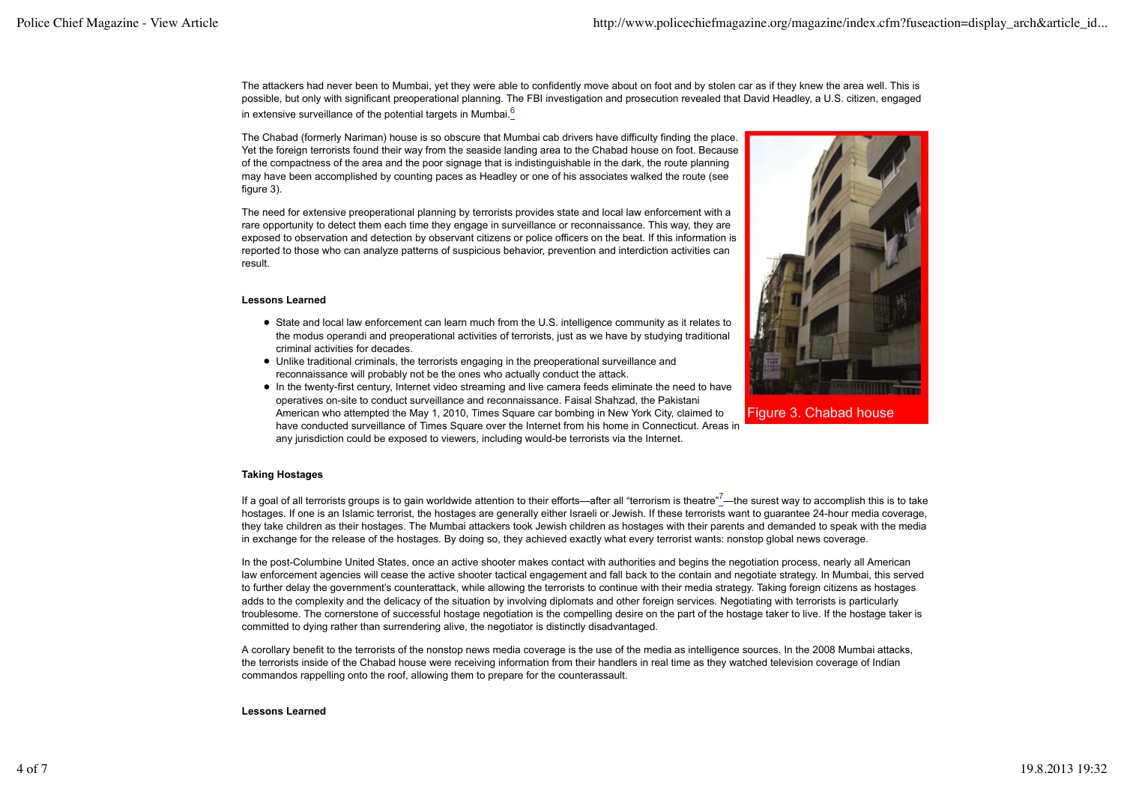The attackers had never been to Mumbai, yet they were able to confidently move about on foot and by stolen car as if they knew the area well. This is possible, but only with significant preoperational planning. The FBI investigation and prosecution revealed that David Headley, a U.S. citizen, engaged in extensive surveillance of the potential targets in Mumbai. $<sup>6</sup>$ </sup>

The Chabad (formerly Nariman) house is so obscure that Mumbai cab drivers have difficulty finding the place. Yet the foreign terrorists found their way from the seaside landing area to the Chabad house on foot. Because of the compactness of the area and the poor signage that is indistinguishable in the dark, the route planning may have been accomplished by counting paces as Headley or one of his associates walked the route (see figure 3).

The need for extensive preoperational planning by terrorists provides state and local law enforcement with a rare opportunity to detect them each time they engage in surveillance or reconnaissance. This way, they are exposed to observation and detection by observant citizens or police officers on the beat. If this information is reported to those who can analyze patterns of suspicious behavior, prevention and interdiction activities can result.

## **Lessons Learned**

- State and local law enforcement can learn much from the U.S. intelligence community as it relates to the modus operandi and preoperational activities of terrorists, just as we have by studying traditional criminal activities for decades.
- Unlike traditional criminals, the terrorists engaging in the preoperational surveillance and reconnaissance will probably not be the ones who actually conduct the attack.
- In the twenty-first century, Internet video streaming and live camera feeds eliminate the need to have operatives on-site to conduct surveillance and reconnaissance. Faisal Shahzad, the Pakistani American who attempted the May 1, 2010, Times Square car bombing in New York City, claimed to have conducted surveillance of Times Square over the Internet from his home in Connecticut. Areas in any jurisdiction could be exposed to viewers, including would-be terrorists via the Internet.



Figure 3. Chabad house

## **Taking Hostages**

If a goal of all terrorists groups is to gain worldwide attention to their efforts—after all "terrorism is theatre"<sup>7</sup>—the surest way to accomplish this is to take hostages. If one is an Islamic terrorist, the hostages are generally either Israeli or Jewish. If these terrorists want to guarantee 24-hour media coverage, they take children as their hostages. The Mumbai attackers took Jewish children as hostages with their parents and demanded to speak with the media in exchange for the release of the hostages. By doing so, they achieved exactly what every terrorist wants: nonstop global news coverage.

In the post-Columbine United States, once an active shooter makes contact with authorities and begins the negotiation process, nearly all American law enforcement agencies will cease the active shooter tactical engagement and fall back to the contain and negotiate strategy. In Mumbai, this served to further delay the government's counterattack, while allowing the terrorists to continue with their media strategy. Taking foreign citizens as hostages adds to the complexity and the delicacy of the situation by involving diplomats and other foreign services. Negotiating with terrorists is particularly troublesome. The cornerstone of successful hostage negotiation is the compelling desire on the part of the hostage taker to live. If the hostage taker is committed to dying rather than surrendering alive, the negotiator is distinctly disadvantaged.

A corollary benefit to the terrorists of the nonstop news media coverage is the use of the media as intelligence sources. In the 2008 Mumbai attacks, the terrorists inside of the Chabad house were receiving information from their handlers in real time as they watched television coverage of Indian commandos rappelling onto the roof, allowing them to prepare for the counterassault.

#### **Lessons Learned**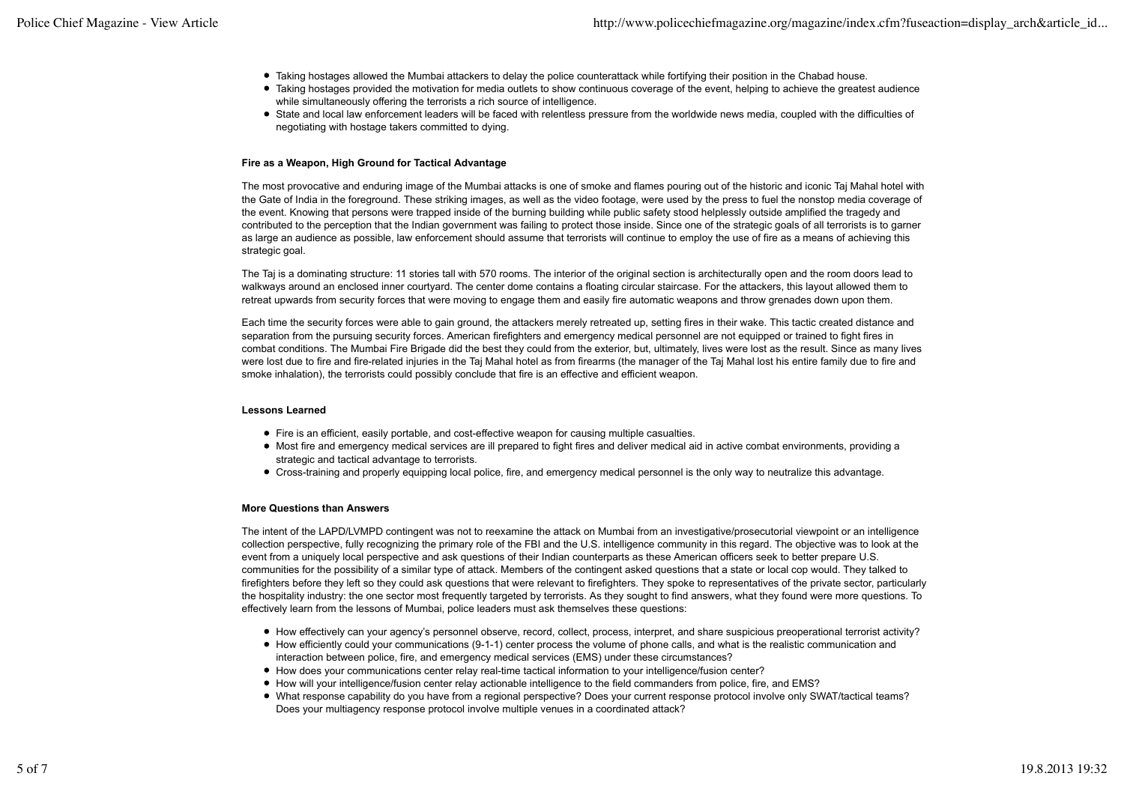- Taking hostages allowed the Mumbai attackers to delay the police counterattack while fortifying their position in the Chabad house.
- Taking hostages provided the motivation for media outlets to show continuous coverage of the event, helping to achieve the greatest audience while simultaneously offering the terrorists a rich source of intelligence.
- State and local law enforcement leaders will be faced with relentless pressure from the worldwide news media, coupled with the difficulties of negotiating with hostage takers committed to dying.

### **Fire as a Weapon, High Ground for Tactical Advantage**

The most provocative and enduring image of the Mumbai attacks is one of smoke and flames pouring out of the historic and iconic Taj Mahal hotel with the Gate of India in the foreground. These striking images, as well as the video footage, were used by the press to fuel the nonstop media coverage of the event. Knowing that persons were trapped inside of the burning building while public safety stood helplessly outside amplified the tragedy and contributed to the perception that the Indian government was failing to protect those inside. Since one of the strategic goals of all terrorists is to garner as large an audience as possible, law enforcement should assume that terrorists will continue to employ the use of fire as a means of achieving this strategic goal.

The Taj is a dominating structure: 11 stories tall with 570 rooms. The interior of the original section is architecturally open and the room doors lead to walkways around an enclosed inner courtyard. The center dome contains a floating circular staircase. For the attackers, this layout allowed them to retreat upwards from security forces that were moving to engage them and easily fire automatic weapons and throw grenades down upon them.

Each time the security forces were able to gain ground, the attackers merely retreated up, setting fires in their wake. This tactic created distance and separation from the pursuing security forces. American firefighters and emergency medical personnel are not equipped or trained to fight fires in combat conditions. The Mumbai Fire Brigade did the best they could from the exterior, but, ultimately, lives were lost as the result. Since as many lives were lost due to fire and fire-related injuries in the Taj Mahal hotel as from firearms (the manager of the Taj Mahal lost his entire family due to fire and smoke inhalation), the terrorists could possibly conclude that fire is an effective and efficient weapon.

#### **Lessons Learned**

- Fire is an efficient, easily portable, and cost-effective weapon for causing multiple casualties.
- Most fire and emergency medical services are ill prepared to fight fires and deliver medical aid in active combat environments, providing a strategic and tactical advantage to terrorists.
- Cross-training and properly equipping local police, fire, and emergency medical personnel is the only way to neutralize this advantage.

#### **More Questions than Answers**

The intent of the LAPD/LVMPD contingent was not to reexamine the attack on Mumbai from an investigative/prosecutorial viewpoint or an intelligence collection perspective, fully recognizing the primary role of the FBI and the U.S. intelligence community in this regard. The objective was to look at the event from a uniquely local perspective and ask questions of their Indian counterparts as these American officers seek to better prepare U.S. communities for the possibility of a similar type of attack. Members of the contingent asked questions that a state or local cop would. They talked to firefighters before they left so they could ask questions that were relevant to firefighters. They spoke to representatives of the private sector, particularly the hospitality industry: the one sector most frequently targeted by terrorists. As they sought to find answers, what they found were more questions. To effectively learn from the lessons of Mumbai, police leaders must ask themselves these questions:

- How effectively can your agency's personnel observe, record, collect, process, interpret, and share suspicious preoperational terrorist activity?
- How efficiently could your communications (9-1-1) center process the volume of phone calls, and what is the realistic communication and interaction between police, fire, and emergency medical services (EMS) under these circumstances?
- How does your communications center relay real-time tactical information to your intelligence/fusion center?
- How will your intelligence/fusion center relay actionable intelligence to the field commanders from police, fire, and EMS?
- What response capability do you have from a regional perspective? Does your current response protocol involve only SWAT/tactical teams? Does your multiagency response protocol involve multiple venues in a coordinated attack?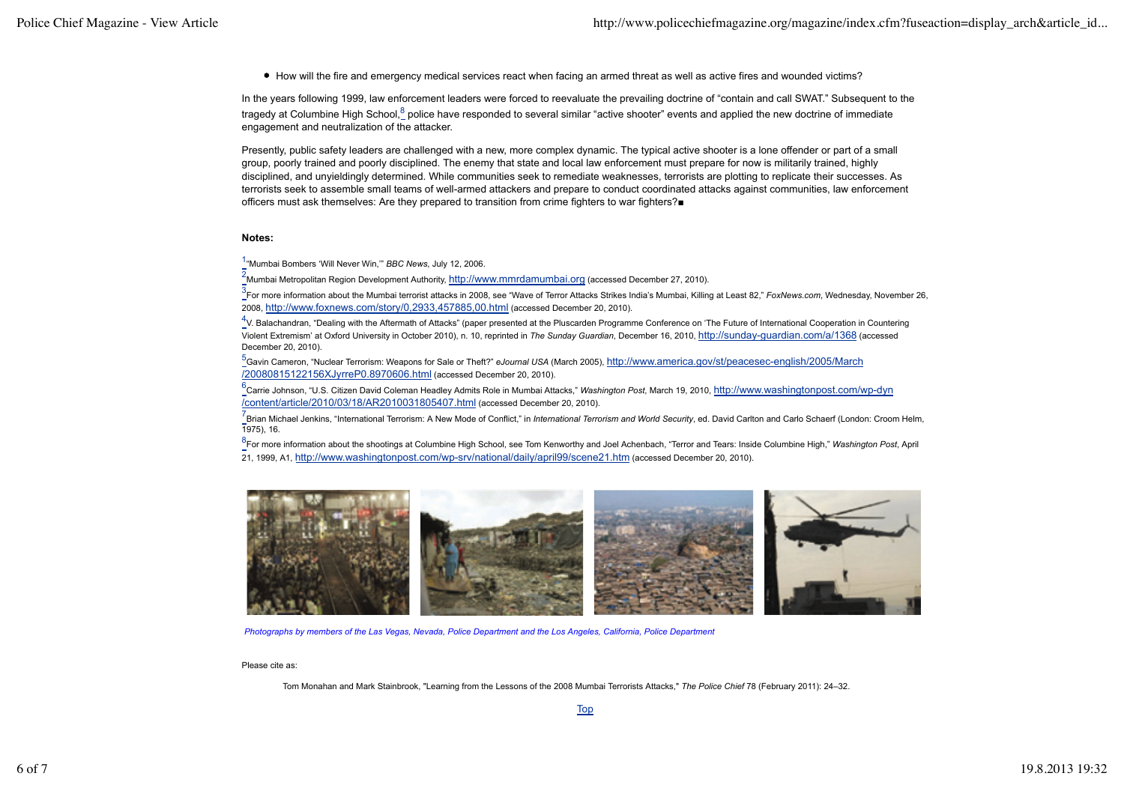How will the fire and emergency medical services react when facing an armed threat as well as active fires and wounded victims?

In the years following 1999, law enforcement leaders were forced to reevaluate the prevailing doctrine of "contain and call SWAT." Subsequent to the tragedy at Columbine High School,<sup>8</sup> police have responded to several similar "active shooter" events and applied the new doctrine of immediate engagement and neutralization of the attacker.

Presently, public safety leaders are challenged with a new, more complex dynamic. The typical active shooter is a lone offender or part of a small group, poorly trained and poorly disciplined. The enemy that state and local law enforcement must prepare for now is militarily trained, highly disciplined, and unyieldingly determined. While communities seek to remediate weaknesses, terrorists are plotting to replicate their successes. As terrorists seek to assemble small teams of well-armed attackers and prepare to conduct coordinated attacks against communities, law enforcement officers must ask themselves: Are they prepared to transition from crime fighters to war fighters?■

#### **Notes:**

1 "Mumbai Bombers 'Will Never Win,'" *BBC News*, July 12, 2006.

<sup>2</sup>Mumbai Metropolitan Region Development Authority, http://www.mmrdamumbai.org (accessed December 27, 2010).

3 For more information about the Mumbai terrorist attacks in 2008, see "Wave of Terror Attacks Strikes India's Mumbai, Killing at Least 82," *FoxNews.com*, Wednesday, November 26, 2008, http://www.foxnews.com/story/0,2933,457885,00.html (accessed December 20, 2010).

4 V. Balachandran, "Dealing with the Aftermath of Attacks" (paper presented at the Pluscarden Programme Conference on 'The Future of International Cooperation in Countering Violent Extremism' at Oxford University in October 2010), n. 10, reprinted in *The Sunday Guardian*, December 16, 2010, http://sunday-guardian.com/a/1368 (accessed December 20, 2010).

<sub>.</sub><br>\_Gavin Cameron, "Nuclear Terrorism: Weapons for Sale or Theft?" *eJournal USA* (March 2005), <u>http://www.america.gov/st/peacesec-english/2005/March</u> /20080815122156XJyrreP0.8970606.html (accessed December 20, 2010).

e<br><sup>6</sup>Carrie Johnson, "U.S. Citizen David Coleman Headley Admits Role in Mumbai Attacks," *Washington Post*, March 19, 2010, <u>http://www.washingtonpost.com/wp-dγn</u> /content/article/2010/03/18/AR2010031805407.html (accessed December 20, 2010).

<sup>7</sup> Brian Michael Jenkins, "International Terrorism: A New Mode of Conflict," in *International Terrorism and World Security*, ed. David Carlton and Carlo Schaerf (London: Croom Helm, 1975), 16.

8 For more information about the shootings at Columbine High School, see Tom Kenworthy and Joel Achenbach, "Terror and Tears: Inside Columbine High," *Washington Post*, April 21, 1999, A1, http://www.washingtonpost.com/wp-srv/national/daily/april99/scene21.htm (accessed December 20, 2010).



*Photographs by members of the Las Vegas, Nevada, Police Department and the Los Angeles, California, Police Department*

#### Please cite as:

Tom Monahan and Mark Stainbrook, "Learning from the Lessons of the 2008 Mumbai Terrorists Attacks," *The Police Chief* 78 (February 2011): 24–32.